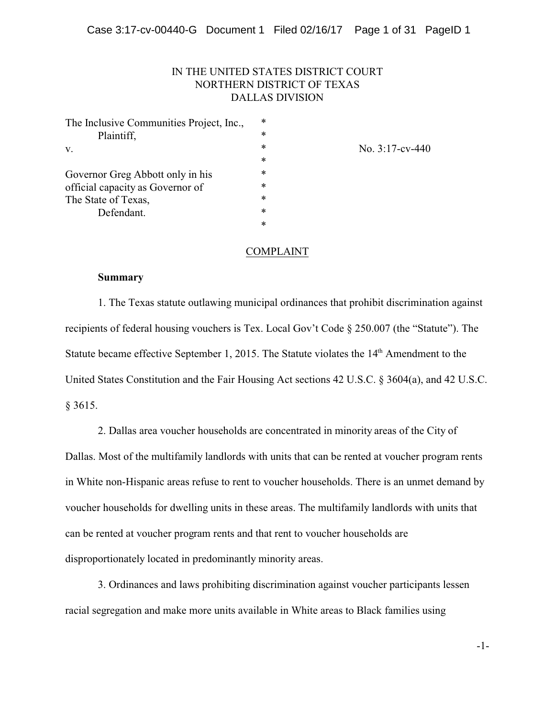## IN THE UNITED STATES DISTRICT COURT NORTHERN DISTRICT OF TEXAS DALLAS DIVISION

| The Inclusive Communities Project, Inc., | $\ast$ |                    |
|------------------------------------------|--------|--------------------|
| Plaintiff,                               | $\ast$ |                    |
| V.                                       | $\ast$ | No. $3:17$ -cv-440 |
|                                          | $\ast$ |                    |
| Governor Greg Abbott only in his         | $\ast$ |                    |
| official capacity as Governor of         | $\ast$ |                    |
| The State of Texas,                      | $\ast$ |                    |
| Defendant.                               | $\ast$ |                    |
|                                          | $\ast$ |                    |
|                                          |        |                    |

# COMPLAINT

### **Summary**

1. The Texas statute outlawing municipal ordinances that prohibit discrimination against recipients of federal housing vouchers is Tex. Local Gov't Code § 250.007 (the "Statute"). The Statute became effective September 1, 2015. The Statute violates the  $14<sup>th</sup>$  Amendment to the United States Constitution and the Fair Housing Act sections 42 U.S.C. § 3604(a), and 42 U.S.C. § 3615.

2. Dallas area voucher households are concentrated in minority areas of the City of Dallas. Most of the multifamily landlords with units that can be rented at voucher program rents in White non-Hispanic areas refuse to rent to voucher households. There is an unmet demand by voucher households for dwelling units in these areas. The multifamily landlords with units that can be rented at voucher program rents and that rent to voucher households are disproportionately located in predominantly minority areas.

3. Ordinances and laws prohibiting discrimination against voucher participants lessen racial segregation and make more units available in White areas to Black families using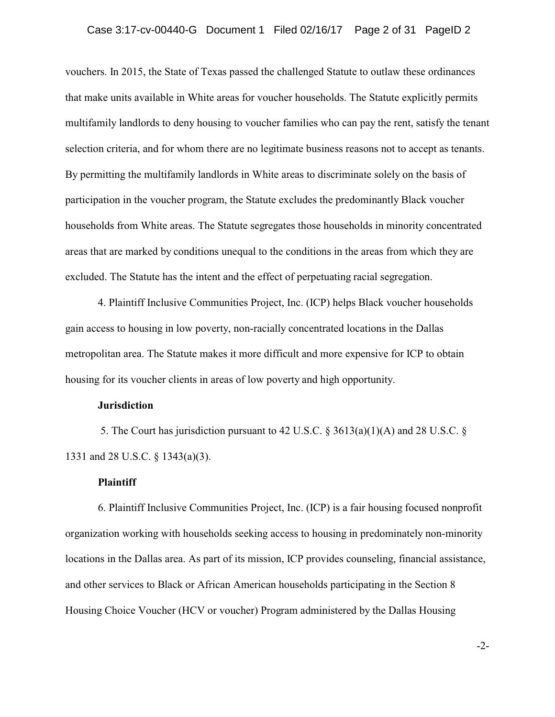vouchers. In 2015, the State of Texas passed the challenged Statute to outlaw these ordinances that make units available in White areas for voucher households. The Statute explicitly permits multifamily landlords to deny housing to voucher families who can pay the rent, satisfy the tenant selection criteria, and for whom there are no legitimate business reasons not to accept as tenants. By permitting the multifamily landlords in White areas to discriminate solely on the basis of participation in the voucher program, the Statute excludes the predominantly Black voucher households from White areas. The Statute segregates those households in minority concentrated areas that are marked by conditions unequal to the conditions in the areas from which they are excluded. The Statute has the intent and the effect of perpetuating racial segregation.

4. Plaintiff Inclusive Communities Project, Inc. (ICP) helps Black voucher households gain access to housing in low poverty, non-racially concentrated locations in the Dallas metropolitan area. The Statute makes it more difficult and more expensive for ICP to obtain housing for its voucher clients in areas of low poverty and high opportunity.

## **Jurisdiction**

 5. The Court has jurisdiction pursuant to 42 U.S.C. § 3613(a)(1)(A) and 28 U.S.C. § 1331 and 28 U.S.C. § 1343(a)(3).

### **Plaintiff**

6. Plaintiff Inclusive Communities Project, Inc. (ICP) is a fair housing focused nonprofit organization working with households seeking access to housing in predominately non-minority locations in the Dallas area. As part of its mission, ICP provides counseling, financial assistance, and other services to Black or African American households participating in the Section 8 Housing Choice Voucher (HCV or voucher) Program administered by the Dallas Housing

-2-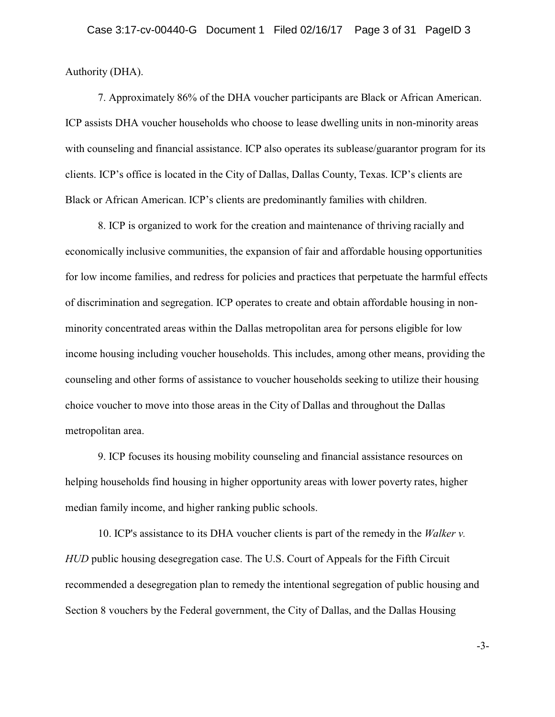Authority (DHA).

7. Approximately 86% of the DHA voucher participants are Black or African American. ICP assists DHA voucher households who choose to lease dwelling units in non-minority areas with counseling and financial assistance. ICP also operates its sublease/guarantor program for its clients. ICP's office is located in the City of Dallas, Dallas County, Texas. ICP's clients are Black or African American. ICP's clients are predominantly families with children.

8. ICP is organized to work for the creation and maintenance of thriving racially and economically inclusive communities, the expansion of fair and affordable housing opportunities for low income families, and redress for policies and practices that perpetuate the harmful effects of discrimination and segregation. ICP operates to create and obtain affordable housing in nonminority concentrated areas within the Dallas metropolitan area for persons eligible for low income housing including voucher households. This includes, among other means, providing the counseling and other forms of assistance to voucher households seeking to utilize their housing choice voucher to move into those areas in the City of Dallas and throughout the Dallas metropolitan area.

9. ICP focuses its housing mobility counseling and financial assistance resources on helping households find housing in higher opportunity areas with lower poverty rates, higher median family income, and higher ranking public schools.

10. ICP's assistance to its DHA voucher clients is part of the remedy in the *Walker v. HUD* public housing desegregation case. The U.S. Court of Appeals for the Fifth Circuit recommended a desegregation plan to remedy the intentional segregation of public housing and Section 8 vouchers by the Federal government, the City of Dallas, and the Dallas Housing

-3-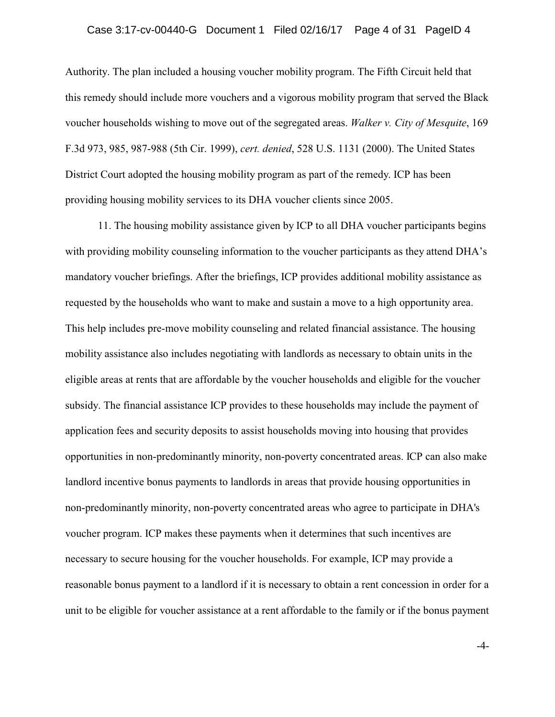Authority. The plan included a housing voucher mobility program. The Fifth Circuit held that this remedy should include more vouchers and a vigorous mobility program that served the Black voucher households wishing to move out of the segregated areas. *Walker v. City of Mesquite*, 169 F.3d 973, 985, 987-988 (5th Cir. 1999), *cert. denied*, 528 U.S. 1131 (2000). The United States District Court adopted the housing mobility program as part of the remedy. ICP has been providing housing mobility services to its DHA voucher clients since 2005.

11. The housing mobility assistance given by ICP to all DHA voucher participants begins with providing mobility counseling information to the voucher participants as they attend DHA's mandatory voucher briefings. After the briefings, ICP provides additional mobility assistance as requested by the households who want to make and sustain a move to a high opportunity area. This help includes pre-move mobility counseling and related financial assistance. The housing mobility assistance also includes negotiating with landlords as necessary to obtain units in the eligible areas at rents that are affordable by the voucher households and eligible for the voucher subsidy. The financial assistance ICP provides to these households may include the payment of application fees and security deposits to assist households moving into housing that provides opportunities in non-predominantly minority, non-poverty concentrated areas. ICP can also make landlord incentive bonus payments to landlords in areas that provide housing opportunities in non-predominantly minority, non-poverty concentrated areas who agree to participate in DHA's voucher program. ICP makes these payments when it determines that such incentives are necessary to secure housing for the voucher households. For example, ICP may provide a reasonable bonus payment to a landlord if it is necessary to obtain a rent concession in order for a unit to be eligible for voucher assistance at a rent affordable to the family or if the bonus payment

-4-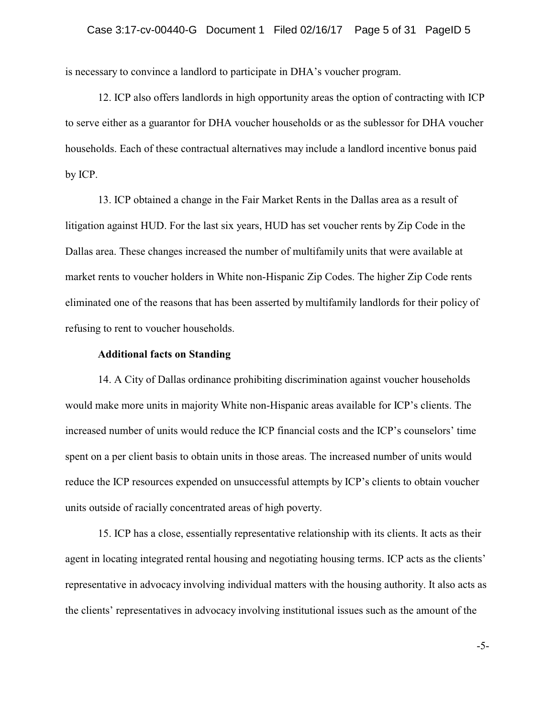is necessary to convince a landlord to participate in DHA's voucher program.

12. ICP also offers landlords in high opportunity areas the option of contracting with ICP to serve either as a guarantor for DHA voucher households or as the sublessor for DHA voucher households. Each of these contractual alternatives may include a landlord incentive bonus paid by ICP.

13. ICP obtained a change in the Fair Market Rents in the Dallas area as a result of litigation against HUD. For the last six years, HUD has set voucher rents by Zip Code in the Dallas area. These changes increased the number of multifamily units that were available at market rents to voucher holders in White non-Hispanic Zip Codes. The higher Zip Code rents eliminated one of the reasons that has been asserted by multifamily landlords for their policy of refusing to rent to voucher households.

### **Additional facts on Standing**

14. A City of Dallas ordinance prohibiting discrimination against voucher households would make more units in majority White non-Hispanic areas available for ICP's clients. The increased number of units would reduce the ICP financial costs and the ICP's counselors' time spent on a per client basis to obtain units in those areas. The increased number of units would reduce the ICP resources expended on unsuccessful attempts by ICP's clients to obtain voucher units outside of racially concentrated areas of high poverty.

15. ICP has a close, essentially representative relationship with its clients. It acts as their agent in locating integrated rental housing and negotiating housing terms. ICP acts as the clients' representative in advocacy involving individual matters with the housing authority. It also acts as the clients' representatives in advocacy involving institutional issues such as the amount of the

-5-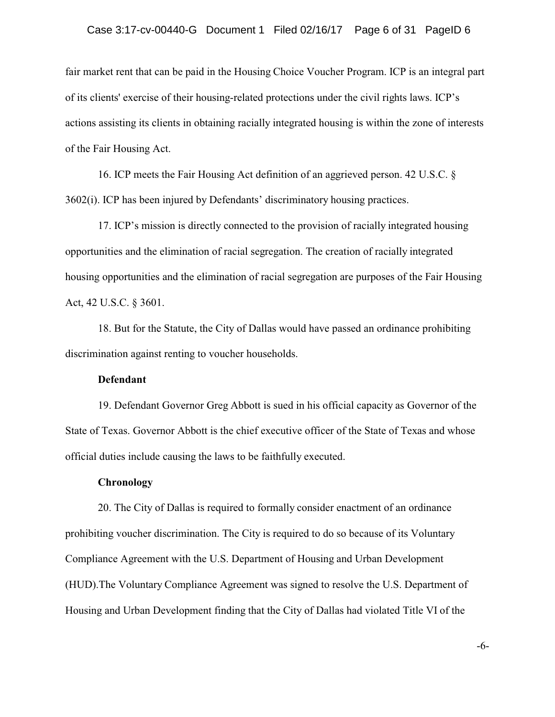### Case 3:17-cv-00440-G Document 1 Filed 02/16/17 Page 6 of 31 PageID 6

fair market rent that can be paid in the Housing Choice Voucher Program. ICP is an integral part of its clients' exercise of their housing-related protections under the civil rights laws. ICP's actions assisting its clients in obtaining racially integrated housing is within the zone of interests of the Fair Housing Act.

16. ICP meets the Fair Housing Act definition of an aggrieved person. 42 U.S.C. § 3602(i). ICP has been injured by Defendants' discriminatory housing practices.

17. ICP's mission is directly connected to the provision of racially integrated housing opportunities and the elimination of racial segregation. The creation of racially integrated housing opportunities and the elimination of racial segregation are purposes of the Fair Housing Act, 42 U.S.C. § 3601.

18. But for the Statute, the City of Dallas would have passed an ordinance prohibiting discrimination against renting to voucher households.

### **Defendant**

19. Defendant Governor Greg Abbott is sued in his official capacity as Governor of the State of Texas. Governor Abbott is the chief executive officer of the State of Texas and whose official duties include causing the laws to be faithfully executed.

### **Chronology**

20. The City of Dallas is required to formally consider enactment of an ordinance prohibiting voucher discrimination. The City is required to do so because of its Voluntary Compliance Agreement with the U.S. Department of Housing and Urban Development (HUD).The Voluntary Compliance Agreement was signed to resolve the U.S. Department of Housing and Urban Development finding that the City of Dallas had violated Title VI of the

-6-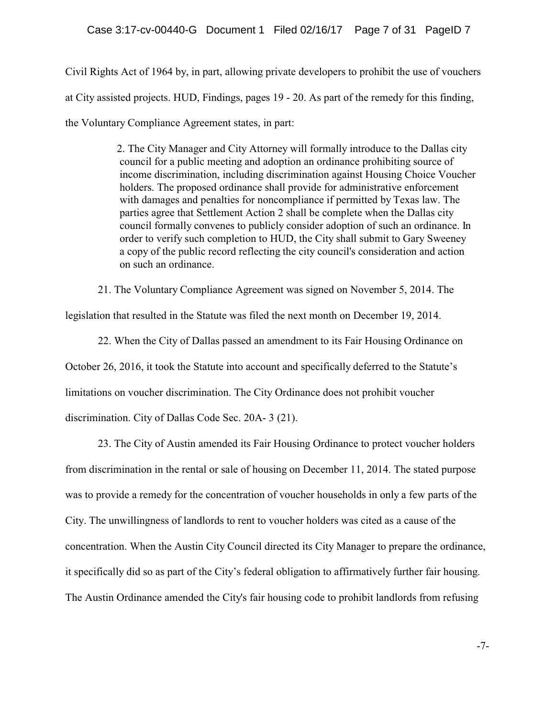Civil Rights Act of 1964 by, in part, allowing private developers to prohibit the use of vouchers at City assisted projects. HUD, Findings, pages 19 - 20. As part of the remedy for this finding, the Voluntary Compliance Agreement states, in part:

> 2. The City Manager and City Attorney will formally introduce to the Dallas city council for a public meeting and adoption an ordinance prohibiting source of income discrimination, including discrimination against Housing Choice Voucher holders. The proposed ordinance shall provide for administrative enforcement with damages and penalties for noncompliance if permitted by Texas law. The parties agree that Settlement Action 2 shall be complete when the Dallas city council formally convenes to publicly consider adoption of such an ordinance. In order to verify such completion to HUD, the City shall submit to Gary Sweeney a copy of the public record reflecting the city council's consideration and action on such an ordinance.

21. The Voluntary Compliance Agreement was signed on November 5, 2014. The

legislation that resulted in the Statute was filed the next month on December 19, 2014.

22. When the City of Dallas passed an amendment to its Fair Housing Ordinance on October 26, 2016, it took the Statute into account and specifically deferred to the Statute's limitations on voucher discrimination. The City Ordinance does not prohibit voucher discrimination. City of Dallas Code Sec. 20A- 3 (21).

23. The City of Austin amended its Fair Housing Ordinance to protect voucher holders from discrimination in the rental or sale of housing on December 11, 2014. The stated purpose was to provide a remedy for the concentration of voucher households in only a few parts of the City. The unwillingness of landlords to rent to voucher holders was cited as a cause of the concentration. When the Austin City Council directed its City Manager to prepare the ordinance, it specifically did so as part of the City's federal obligation to affirmatively further fair housing. The Austin Ordinance amended the City's fair housing code to prohibit landlords from refusing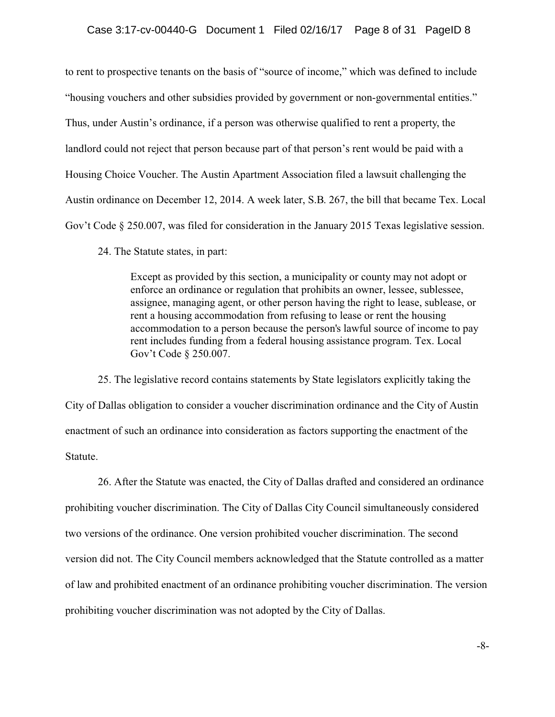to rent to prospective tenants on the basis of "source of income," which was defined to include "housing vouchers and other subsidies provided by government or non-governmental entities." Thus, under Austin's ordinance, if a person was otherwise qualified to rent a property, the landlord could not reject that person because part of that person's rent would be paid with a Housing Choice Voucher. The Austin Apartment Association filed a lawsuit challenging the Austin ordinance on December 12, 2014. A week later, S.B. 267, the bill that became Tex. Local Gov't Code § 250.007, was filed for consideration in the January 2015 Texas legislative session.

24. The Statute states, in part:

Except as provided by this section, a municipality or county may not adopt or enforce an ordinance or regulation that prohibits an owner, lessee, sublessee, assignee, managing agent, or other person having the right to lease, sublease, or rent a housing accommodation from refusing to lease or rent the housing accommodation to a person because the person's lawful source of income to pay rent includes funding from a federal housing assistance program. Tex. Local Gov't Code § 250.007.

25. The legislative record contains statements by State legislators explicitly taking the City of Dallas obligation to consider a voucher discrimination ordinance and the City of Austin enactment of such an ordinance into consideration as factors supporting the enactment of the Statute.

26. After the Statute was enacted, the City of Dallas drafted and considered an ordinance prohibiting voucher discrimination. The City of Dallas City Council simultaneously considered two versions of the ordinance. One version prohibited voucher discrimination. The second version did not. The City Council members acknowledged that the Statute controlled as a matter of law and prohibited enactment of an ordinance prohibiting voucher discrimination. The version prohibiting voucher discrimination was not adopted by the City of Dallas.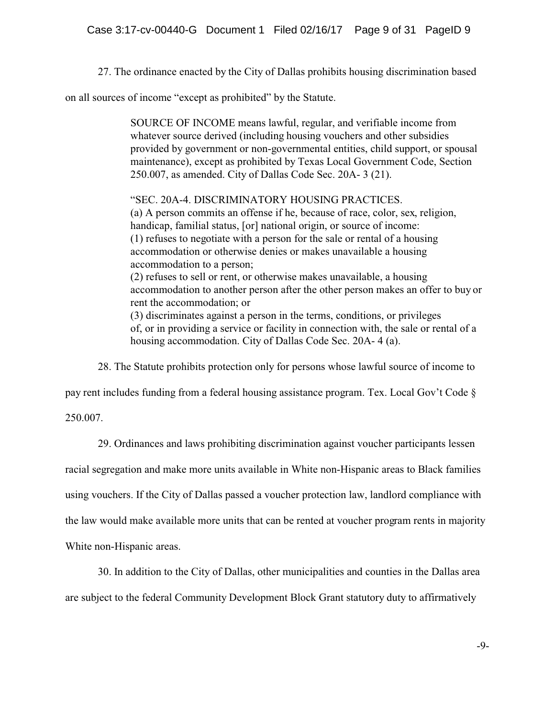27. The ordinance enacted by the City of Dallas prohibits housing discrimination based

on all sources of income "except as prohibited" by the Statute.

SOURCE OF INCOME means lawful, regular, and verifiable income from whatever source derived (including housing vouchers and other subsidies provided by government or non-governmental entities, child support, or spousal maintenance), except as prohibited by Texas Local Government Code, Section 250.007, as amended. City of Dallas Code Sec. 20A- 3 (21).

"SEC. 20A-4. DISCRIMINATORY HOUSING PRACTICES. (a) A person commits an offense if he, because of race, color, sex, religion, handicap, familial status, [or] national origin, or source of income:

(1) refuses to negotiate with a person for the sale or rental of a housing accommodation or otherwise denies or makes unavailable a housing accommodation to a person;

(2) refuses to sell or rent, or otherwise makes unavailable, a housing accommodation to another person after the other person makes an offer to buy or rent the accommodation; or

(3) discriminates against a person in the terms, conditions, or privileges of, or in providing a service or facility in connection with, the sale or rental of a housing accommodation. City of Dallas Code Sec. 20A- 4 (a).

28. The Statute prohibits protection only for persons whose lawful source of income to

pay rent includes funding from a federal housing assistance program. Tex. Local Gov't Code §

250.007.

29. Ordinances and laws prohibiting discrimination against voucher participants lessen

racial segregation and make more units available in White non-Hispanic areas to Black families

using vouchers. If the City of Dallas passed a voucher protection law, landlord compliance with

the law would make available more units that can be rented at voucher program rents in majority

White non-Hispanic areas.

30. In addition to the City of Dallas, other municipalities and counties in the Dallas area

are subject to the federal Community Development Block Grant statutory duty to affirmatively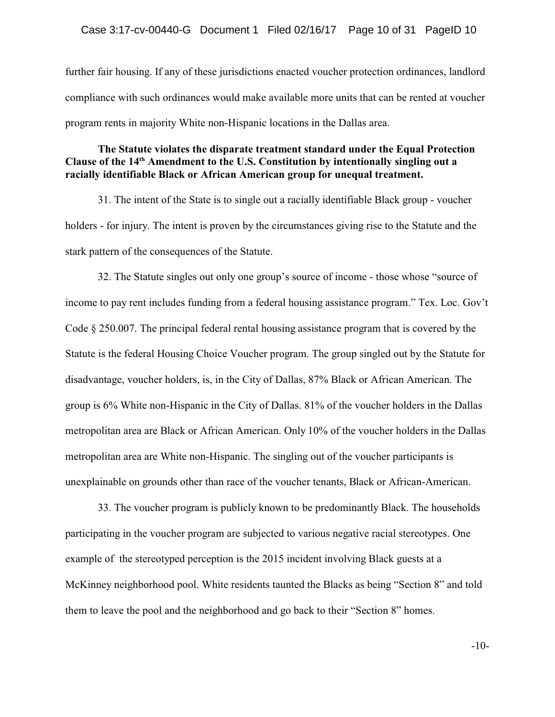further fair housing. If any of these jurisdictions enacted voucher protection ordinances, landlord compliance with such ordinances would make available more units that can be rented at voucher program rents in majority White non-Hispanic locations in the Dallas area.

# **The Statute violates the disparate treatment standard under the Equal Protection Clause of the 14th Amendment to the U.S. Constitution by intentionally singling out a racially identifiable Black or African American group for unequal treatment.**

31. The intent of the State is to single out a racially identifiable Black group - voucher holders - for injury. The intent is proven by the circumstances giving rise to the Statute and the stark pattern of the consequences of the Statute.

32. The Statute singles out only one group's source of income - those whose "source of income to pay rent includes funding from a federal housing assistance program." Tex. Loc. Gov't Code § 250.007. The principal federal rental housing assistance program that is covered by the Statute is the federal Housing Choice Voucher program. The group singled out by the Statute for disadvantage, voucher holders, is, in the City of Dallas, 87% Black or African American. The group is 6% White non-Hispanic in the City of Dallas. 81% of the voucher holders in the Dallas metropolitan area are Black or African American. Only 10% of the voucher holders in the Dallas metropolitan area are White non-Hispanic. The singling out of the voucher participants is unexplainable on grounds other than race of the voucher tenants, Black or African-American.

33. The voucher program is publicly known to be predominantly Black. The households participating in the voucher program are subjected to various negative racial stereotypes. One example of the stereotyped perception is the 2015 incident involving Black guests at a McKinney neighborhood pool. White residents taunted the Blacks as being "Section 8" and told them to leave the pool and the neighborhood and go back to their "Section 8" homes.

-10-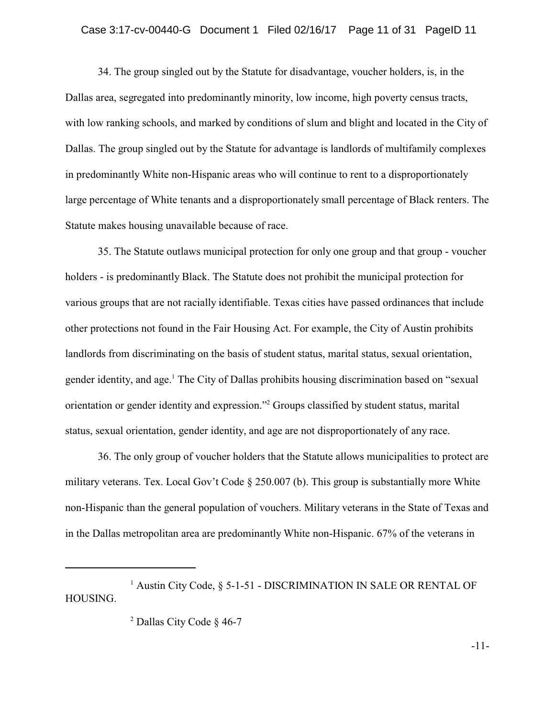### Case 3:17-cv-00440-G Document 1 Filed 02/16/17 Page 11 of 31 PageID 11

34. The group singled out by the Statute for disadvantage, voucher holders, is, in the Dallas area, segregated into predominantly minority, low income, high poverty census tracts, with low ranking schools, and marked by conditions of slum and blight and located in the City of Dallas. The group singled out by the Statute for advantage is landlords of multifamily complexes in predominantly White non-Hispanic areas who will continue to rent to a disproportionately large percentage of White tenants and a disproportionately small percentage of Black renters. The Statute makes housing unavailable because of race.

35. The Statute outlaws municipal protection for only one group and that group - voucher holders - is predominantly Black. The Statute does not prohibit the municipal protection for various groups that are not racially identifiable. Texas cities have passed ordinances that include other protections not found in the Fair Housing Act. For example, the City of Austin prohibits landlords from discriminating on the basis of student status, marital status, sexual orientation, gender identity, and age.<sup>1</sup> The City of Dallas prohibits housing discrimination based on "sexual orientation or gender identity and expression."<sup>2</sup> Groups classified by student status, marital status, sexual orientation, gender identity, and age are not disproportionately of any race.

36. The only group of voucher holders that the Statute allows municipalities to protect are military veterans. Tex. Local Gov't Code § 250.007 (b). This group is substantially more White non-Hispanic than the general population of vouchers. Military veterans in the State of Texas and in the Dallas metropolitan area are predominantly White non-Hispanic. 67% of the veterans in

<sup>1</sup> Austin City Code, § 5-1-51 - DISCRIMINATION IN SALE OR RENTAL OF HOUSING.

<sup>2</sup> Dallas City Code § 46-7

-11-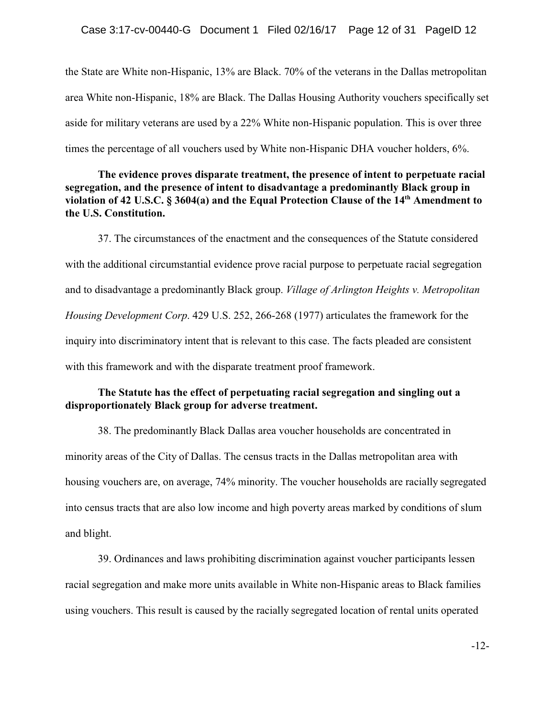the State are White non-Hispanic, 13% are Black. 70% of the veterans in the Dallas metropolitan area White non-Hispanic, 18% are Black. The Dallas Housing Authority vouchers specifically set aside for military veterans are used by a 22% White non-Hispanic population. This is over three times the percentage of all vouchers used by White non-Hispanic DHA voucher holders, 6%.

**The evidence proves disparate treatment, the presence of intent to perpetuate racial segregation, and the presence of intent to disadvantage a predominantly Black group in violation of 42 U.S.C. § 3604(a) and the Equal Protection Clause of the 14th Amendment to the U.S. Constitution.**

37. The circumstances of the enactment and the consequences of the Statute considered with the additional circumstantial evidence prove racial purpose to perpetuate racial segregation and to disadvantage a predominantly Black group. *Village of Arlington Heights v. Metropolitan Housing Development Corp*. 429 U.S. 252, 266-268 (1977) articulates the framework for the inquiry into discriminatory intent that is relevant to this case. The facts pleaded are consistent with this framework and with the disparate treatment proof framework.

# **The Statute has the effect of perpetuating racial segregation and singling out a disproportionately Black group for adverse treatment.**

38. The predominantly Black Dallas area voucher households are concentrated in minority areas of the City of Dallas. The census tracts in the Dallas metropolitan area with housing vouchers are, on average, 74% minority. The voucher households are racially segregated into census tracts that are also low income and high poverty areas marked by conditions of slum and blight.

39. Ordinances and laws prohibiting discrimination against voucher participants lessen racial segregation and make more units available in White non-Hispanic areas to Black families using vouchers. This result is caused by the racially segregated location of rental units operated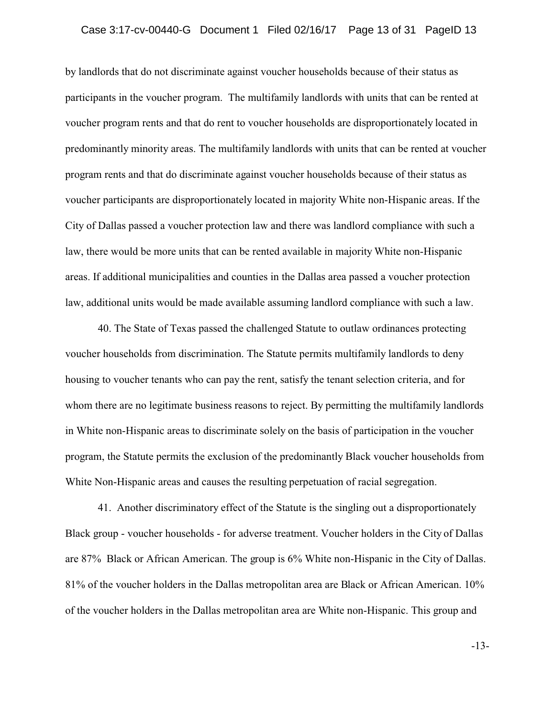by landlords that do not discriminate against voucher households because of their status as participants in the voucher program. The multifamily landlords with units that can be rented at voucher program rents and that do rent to voucher households are disproportionately located in predominantly minority areas. The multifamily landlords with units that can be rented at voucher program rents and that do discriminate against voucher households because of their status as voucher participants are disproportionately located in majority White non-Hispanic areas. If the City of Dallas passed a voucher protection law and there was landlord compliance with such a law, there would be more units that can be rented available in majority White non-Hispanic areas. If additional municipalities and counties in the Dallas area passed a voucher protection law, additional units would be made available assuming landlord compliance with such a law.

40. The State of Texas passed the challenged Statute to outlaw ordinances protecting voucher households from discrimination. The Statute permits multifamily landlords to deny housing to voucher tenants who can pay the rent, satisfy the tenant selection criteria, and for whom there are no legitimate business reasons to reject. By permitting the multifamily landlords in White non-Hispanic areas to discriminate solely on the basis of participation in the voucher program, the Statute permits the exclusion of the predominantly Black voucher households from White Non-Hispanic areas and causes the resulting perpetuation of racial segregation.

41. Another discriminatory effect of the Statute is the singling out a disproportionately Black group - voucher households - for adverse treatment. Voucher holders in the City of Dallas are 87% Black or African American. The group is 6% White non-Hispanic in the City of Dallas. 81% of the voucher holders in the Dallas metropolitan area are Black or African American. 10% of the voucher holders in the Dallas metropolitan area are White non-Hispanic. This group and

-13-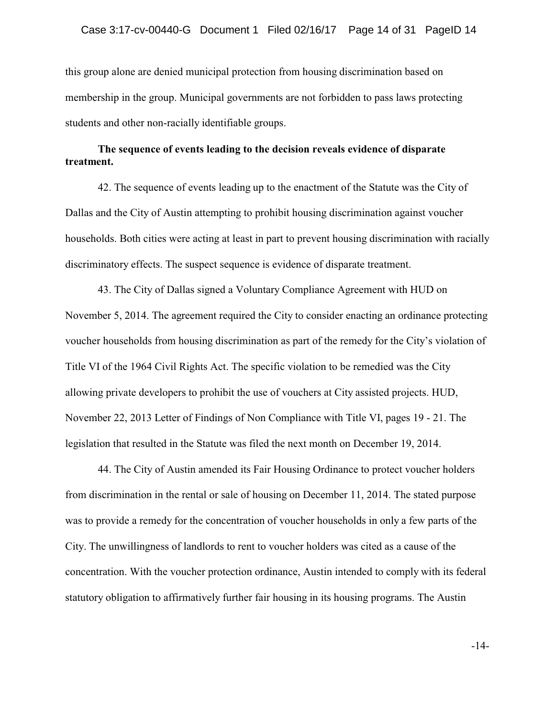this group alone are denied municipal protection from housing discrimination based on membership in the group. Municipal governments are not forbidden to pass laws protecting students and other non-racially identifiable groups.

# **The sequence of events leading to the decision reveals evidence of disparate treatment.**

42. The sequence of events leading up to the enactment of the Statute was the City of Dallas and the City of Austin attempting to prohibit housing discrimination against voucher households. Both cities were acting at least in part to prevent housing discrimination with racially discriminatory effects. The suspect sequence is evidence of disparate treatment.

43. The City of Dallas signed a Voluntary Compliance Agreement with HUD on November 5, 2014. The agreement required the City to consider enacting an ordinance protecting voucher households from housing discrimination as part of the remedy for the City's violation of Title VI of the 1964 Civil Rights Act. The specific violation to be remedied was the City allowing private developers to prohibit the use of vouchers at City assisted projects. HUD, November 22, 2013 Letter of Findings of Non Compliance with Title VI, pages 19 - 21. The legislation that resulted in the Statute was filed the next month on December 19, 2014.

44. The City of Austin amended its Fair Housing Ordinance to protect voucher holders from discrimination in the rental or sale of housing on December 11, 2014. The stated purpose was to provide a remedy for the concentration of voucher households in only a few parts of the City. The unwillingness of landlords to rent to voucher holders was cited as a cause of the concentration. With the voucher protection ordinance, Austin intended to comply with its federal statutory obligation to affirmatively further fair housing in its housing programs. The Austin

-14-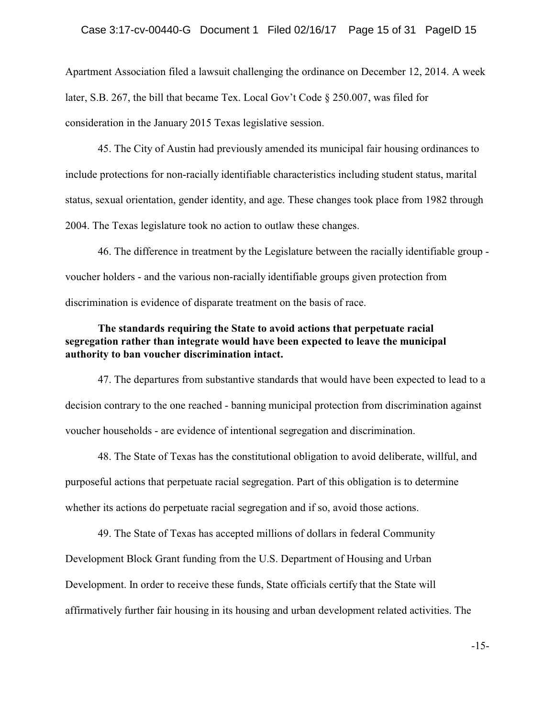Apartment Association filed a lawsuit challenging the ordinance on December 12, 2014. A week later, S.B. 267, the bill that became Tex. Local Gov't Code § 250.007, was filed for consideration in the January 2015 Texas legislative session.

45. The City of Austin had previously amended its municipal fair housing ordinances to include protections for non-racially identifiable characteristics including student status, marital status, sexual orientation, gender identity, and age. These changes took place from 1982 through 2004. The Texas legislature took no action to outlaw these changes.

46. The difference in treatment by the Legislature between the racially identifiable group voucher holders - and the various non-racially identifiable groups given protection from discrimination is evidence of disparate treatment on the basis of race.

# **The standards requiring the State to avoid actions that perpetuate racial segregation rather than integrate would have been expected to leave the municipal authority to ban voucher discrimination intact.**

47. The departures from substantive standards that would have been expected to lead to a decision contrary to the one reached - banning municipal protection from discrimination against voucher households - are evidence of intentional segregation and discrimination.

48. The State of Texas has the constitutional obligation to avoid deliberate, willful, and purposeful actions that perpetuate racial segregation. Part of this obligation is to determine whether its actions do perpetuate racial segregation and if so, avoid those actions.

49. The State of Texas has accepted millions of dollars in federal Community Development Block Grant funding from the U.S. Department of Housing and Urban Development. In order to receive these funds, State officials certify that the State will affirmatively further fair housing in its housing and urban development related activities. The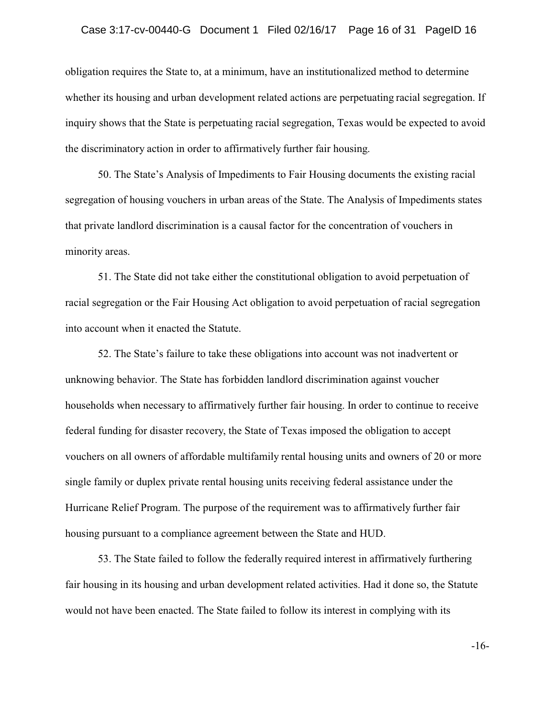obligation requires the State to, at a minimum, have an institutionalized method to determine whether its housing and urban development related actions are perpetuating racial segregation. If inquiry shows that the State is perpetuating racial segregation, Texas would be expected to avoid the discriminatory action in order to affirmatively further fair housing.

50. The State's Analysis of Impediments to Fair Housing documents the existing racial segregation of housing vouchers in urban areas of the State. The Analysis of Impediments states that private landlord discrimination is a causal factor for the concentration of vouchers in minority areas.

51. The State did not take either the constitutional obligation to avoid perpetuation of racial segregation or the Fair Housing Act obligation to avoid perpetuation of racial segregation into account when it enacted the Statute.

52. The State's failure to take these obligations into account was not inadvertent or unknowing behavior. The State has forbidden landlord discrimination against voucher households when necessary to affirmatively further fair housing. In order to continue to receive federal funding for disaster recovery, the State of Texas imposed the obligation to accept vouchers on all owners of affordable multifamily rental housing units and owners of 20 or more single family or duplex private rental housing units receiving federal assistance under the Hurricane Relief Program. The purpose of the requirement was to affirmatively further fair housing pursuant to a compliance agreement between the State and HUD.

53. The State failed to follow the federally required interest in affirmatively furthering fair housing in its housing and urban development related activities. Had it done so, the Statute would not have been enacted. The State failed to follow its interest in complying with its

-16-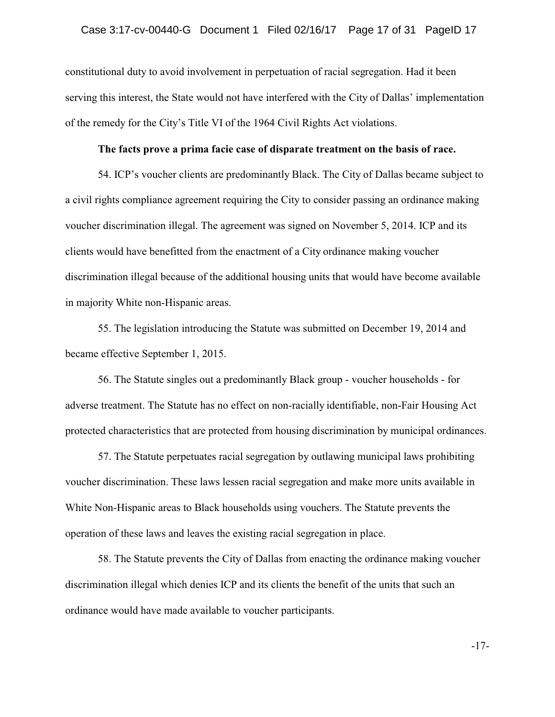constitutional duty to avoid involvement in perpetuation of racial segregation. Had it been serving this interest, the State would not have interfered with the City of Dallas' implementation of the remedy for the City's Title VI of the 1964 Civil Rights Act violations.

## **The facts prove a prima facie case of disparate treatment on the basis of race.**

54. ICP's voucher clients are predominantly Black. The City of Dallas became subject to a civil rights compliance agreement requiring the City to consider passing an ordinance making voucher discrimination illegal. The agreement was signed on November 5, 2014. ICP and its clients would have benefitted from the enactment of a City ordinance making voucher discrimination illegal because of the additional housing units that would have become available in majority White non-Hispanic areas.

55. The legislation introducing the Statute was submitted on December 19, 2014 and became effective September 1, 2015.

56. The Statute singles out a predominantly Black group - voucher households - for adverse treatment. The Statute has no effect on non-racially identifiable, non-Fair Housing Act protected characteristics that are protected from housing discrimination by municipal ordinances.

57. The Statute perpetuates racial segregation by outlawing municipal laws prohibiting voucher discrimination. These laws lessen racial segregation and make more units available in White Non-Hispanic areas to Black households using vouchers. The Statute prevents the operation of these laws and leaves the existing racial segregation in place.

58. The Statute prevents the City of Dallas from enacting the ordinance making voucher discrimination illegal which denies ICP and its clients the benefit of the units that such an ordinance would have made available to voucher participants.

-17-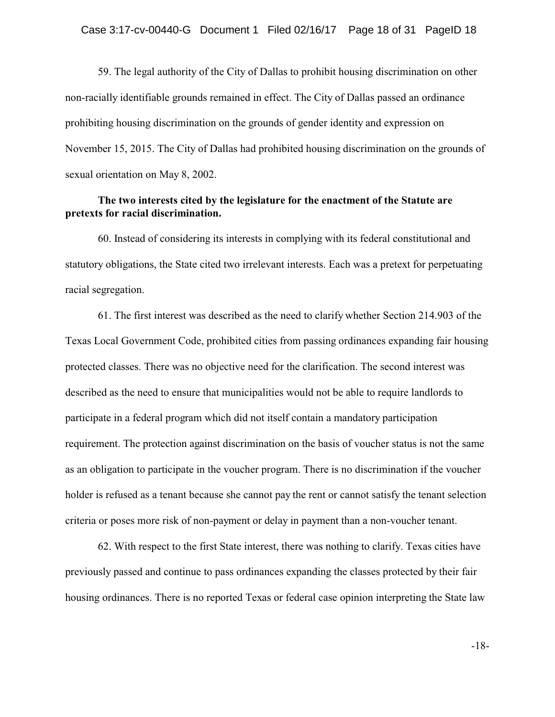59. The legal authority of the City of Dallas to prohibit housing discrimination on other non-racially identifiable grounds remained in effect. The City of Dallas passed an ordinance prohibiting housing discrimination on the grounds of gender identity and expression on November 15, 2015. The City of Dallas had prohibited housing discrimination on the grounds of sexual orientation on May 8, 2002.

# **The two interests cited by the legislature for the enactment of the Statute are pretexts for racial discrimination.**

60. Instead of considering its interests in complying with its federal constitutional and statutory obligations, the State cited two irrelevant interests. Each was a pretext for perpetuating racial segregation.

61. The first interest was described as the need to clarify whether Section 214.903 of the Texas Local Government Code, prohibited cities from passing ordinances expanding fair housing protected classes. There was no objective need for the clarification. The second interest was described as the need to ensure that municipalities would not be able to require landlords to participate in a federal program which did not itself contain a mandatory participation requirement. The protection against discrimination on the basis of voucher status is not the same as an obligation to participate in the voucher program. There is no discrimination if the voucher holder is refused as a tenant because she cannot pay the rent or cannot satisfy the tenant selection criteria or poses more risk of non-payment or delay in payment than a non-voucher tenant.

62. With respect to the first State interest, there was nothing to clarify. Texas cities have previously passed and continue to pass ordinances expanding the classes protected by their fair housing ordinances. There is no reported Texas or federal case opinion interpreting the State law

-18-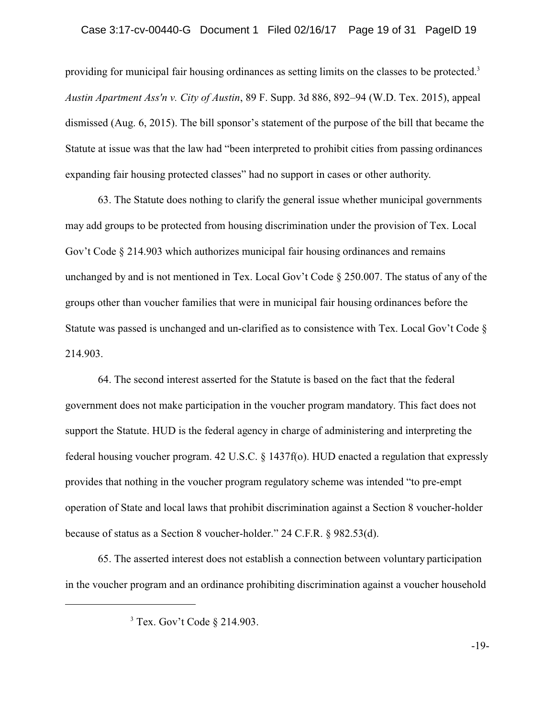providing for municipal fair housing ordinances as setting limits on the classes to be protected. $3$ *Austin Apartment Ass'n v. City of Austin*, 89 F. Supp. 3d 886, 892–94 (W.D. Tex. 2015), appeal dismissed (Aug. 6, 2015). The bill sponsor's statement of the purpose of the bill that became the Statute at issue was that the law had "been interpreted to prohibit cities from passing ordinances expanding fair housing protected classes" had no support in cases or other authority.

63. The Statute does nothing to clarify the general issue whether municipal governments may add groups to be protected from housing discrimination under the provision of Tex. Local Gov't Code § 214.903 which authorizes municipal fair housing ordinances and remains unchanged by and is not mentioned in Tex. Local Gov't Code § 250.007. The status of any of the groups other than voucher families that were in municipal fair housing ordinances before the Statute was passed is unchanged and un-clarified as to consistence with Tex. Local Gov't Code § 214.903.

64. The second interest asserted for the Statute is based on the fact that the federal government does not make participation in the voucher program mandatory. This fact does not support the Statute. HUD is the federal agency in charge of administering and interpreting the federal housing voucher program. 42 U.S.C. § 1437f(o). HUD enacted a regulation that expressly provides that nothing in the voucher program regulatory scheme was intended "to pre-empt operation of State and local laws that prohibit discrimination against a Section 8 voucher-holder because of status as a Section 8 voucher-holder." 24 C.F.R. § 982.53(d).

65. The asserted interest does not establish a connection between voluntary participation in the voucher program and an ordinance prohibiting discrimination against a voucher household

<sup>3</sup> Tex. Gov't Code § 214.903.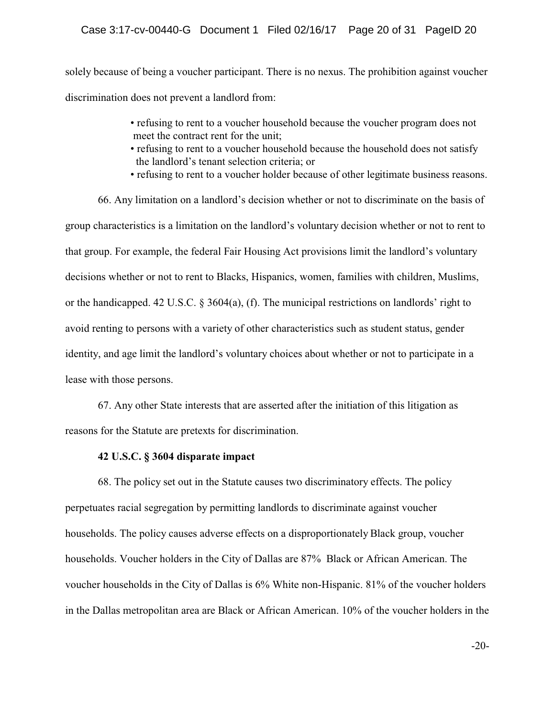## Case 3:17-cv-00440-G Document 1 Filed 02/16/17 Page 20 of 31 PageID 20

solely because of being a voucher participant. There is no nexus. The prohibition against voucher discrimination does not prevent a landlord from:

- refusing to rent to a voucher household because the voucher program does not meet the contract rent for the unit;
- refusing to rent to a voucher household because the household does not satisfy the landlord's tenant selection criteria; or
- refusing to rent to a voucher holder because of other legitimate business reasons.

66. Any limitation on a landlord's decision whether or not to discriminate on the basis of group characteristics is a limitation on the landlord's voluntary decision whether or not to rent to that group. For example, the federal Fair Housing Act provisions limit the landlord's voluntary decisions whether or not to rent to Blacks, Hispanics, women, families with children, Muslims, or the handicapped. 42 U.S.C. § 3604(a), (f). The municipal restrictions on landlords' right to avoid renting to persons with a variety of other characteristics such as student status, gender identity, and age limit the landlord's voluntary choices about whether or not to participate in a lease with those persons.

67. Any other State interests that are asserted after the initiation of this litigation as reasons for the Statute are pretexts for discrimination.

## **42 U.S.C. § 3604 disparate impact**

68. The policy set out in the Statute causes two discriminatory effects. The policy perpetuates racial segregation by permitting landlords to discriminate against voucher households. The policy causes adverse effects on a disproportionately Black group, voucher households. Voucher holders in the City of Dallas are 87% Black or African American. The voucher households in the City of Dallas is 6% White non-Hispanic. 81% of the voucher holders in the Dallas metropolitan area are Black or African American. 10% of the voucher holders in the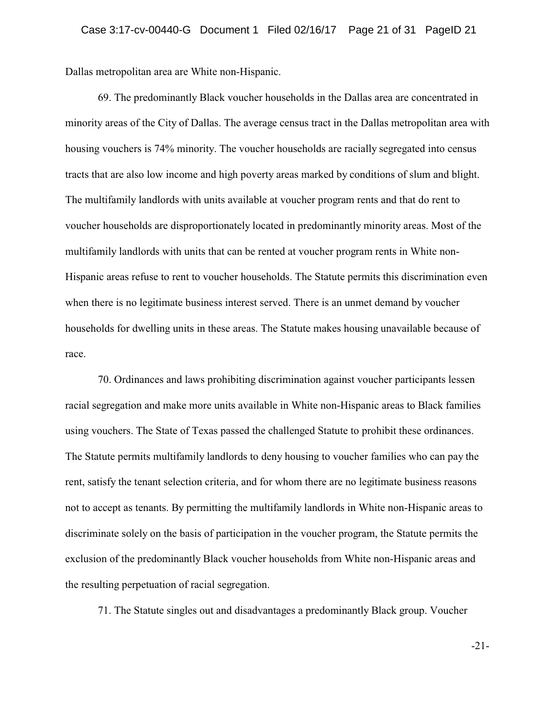Dallas metropolitan area are White non-Hispanic.

69. The predominantly Black voucher households in the Dallas area are concentrated in minority areas of the City of Dallas. The average census tract in the Dallas metropolitan area with housing vouchers is 74% minority. The voucher households are racially segregated into census tracts that are also low income and high poverty areas marked by conditions of slum and blight. The multifamily landlords with units available at voucher program rents and that do rent to voucher households are disproportionately located in predominantly minority areas. Most of the multifamily landlords with units that can be rented at voucher program rents in White non-Hispanic areas refuse to rent to voucher households. The Statute permits this discrimination even when there is no legitimate business interest served. There is an unmet demand by voucher households for dwelling units in these areas. The Statute makes housing unavailable because of race.

70. Ordinances and laws prohibiting discrimination against voucher participants lessen racial segregation and make more units available in White non-Hispanic areas to Black families using vouchers. The State of Texas passed the challenged Statute to prohibit these ordinances. The Statute permits multifamily landlords to deny housing to voucher families who can pay the rent, satisfy the tenant selection criteria, and for whom there are no legitimate business reasons not to accept as tenants. By permitting the multifamily landlords in White non-Hispanic areas to discriminate solely on the basis of participation in the voucher program, the Statute permits the exclusion of the predominantly Black voucher households from White non-Hispanic areas and the resulting perpetuation of racial segregation.

71. The Statute singles out and disadvantages a predominantly Black group. Voucher

-21-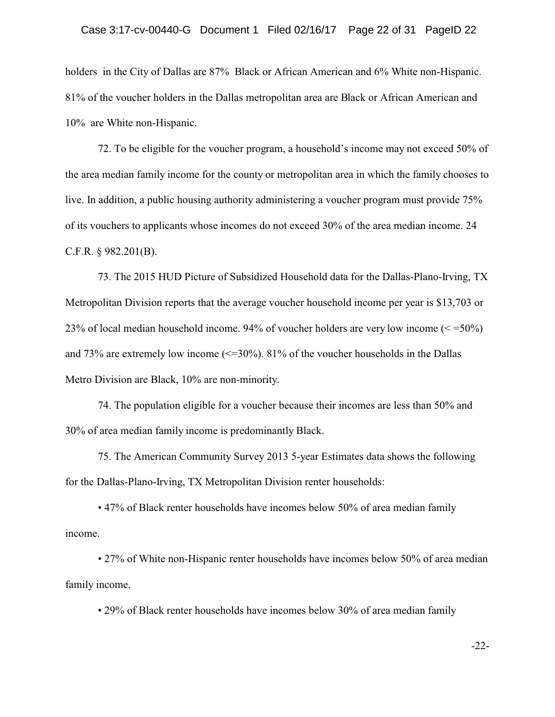holders in the City of Dallas are 87% Black or African American and 6% White non-Hispanic. 81% of the voucher holders in the Dallas metropolitan area are Black or African American and 10% are White non-Hispanic.

72. To be eligible for the voucher program, a household's income may not exceed 50% of the area median family income for the county or metropolitan area in which the family chooses to live. In addition, a public housing authority administering a voucher program must provide 75% of its vouchers to applicants whose incomes do not exceed 30% of the area median income. 24 C.F.R. § 982.201(B).

73. The 2015 HUD Picture of Subsidized Household data for the Dallas-Plano-Irving, TX Metropolitan Division reports that the average voucher household income per year is \$13,703 or 23% of local median household income. 94% of voucher holders are very low income (< =50%) and 73% are extremely low income  $\ll$ =30%). 81% of the voucher households in the Dallas Metro Division are Black, 10% are non-minority.

74. The population eligible for a voucher because their incomes are less than 50% and 30% of area median family income is predominantly Black.

75. The American Community Survey 2013 5-year Estimates data shows the following for the Dallas-Plano-Irving, TX Metropolitan Division renter households:

• 47% of Black renter households have incomes below 50% of area median family income.

• 27% of White non-Hispanic renter households have incomes below 50% of area median family income.

• 29% of Black renter households have incomes below 30% of area median family

-22-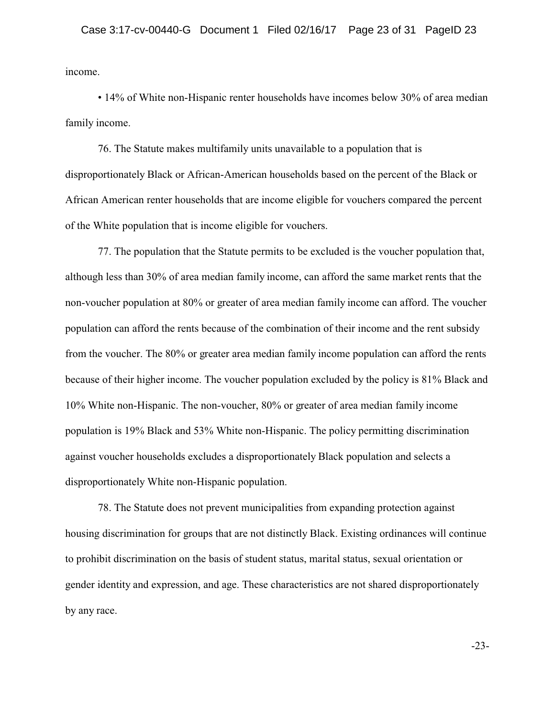income.

• 14% of White non-Hispanic renter households have incomes below 30% of area median family income.

76. The Statute makes multifamily units unavailable to a population that is disproportionately Black or African-American households based on the percent of the Black or African American renter households that are income eligible for vouchers compared the percent of the White population that is income eligible for vouchers.

77. The population that the Statute permits to be excluded is the voucher population that, although less than 30% of area median family income, can afford the same market rents that the non-voucher population at 80% or greater of area median family income can afford. The voucher population can afford the rents because of the combination of their income and the rent subsidy from the voucher. The 80% or greater area median family income population can afford the rents because of their higher income. The voucher population excluded by the policy is 81% Black and 10% White non-Hispanic. The non-voucher, 80% or greater of area median family income population is 19% Black and 53% White non-Hispanic. The policy permitting discrimination against voucher households excludes a disproportionately Black population and selects a disproportionately White non-Hispanic population.

78. The Statute does not prevent municipalities from expanding protection against housing discrimination for groups that are not distinctly Black. Existing ordinances will continue to prohibit discrimination on the basis of student status, marital status, sexual orientation or gender identity and expression, and age. These characteristics are not shared disproportionately by any race.

-23-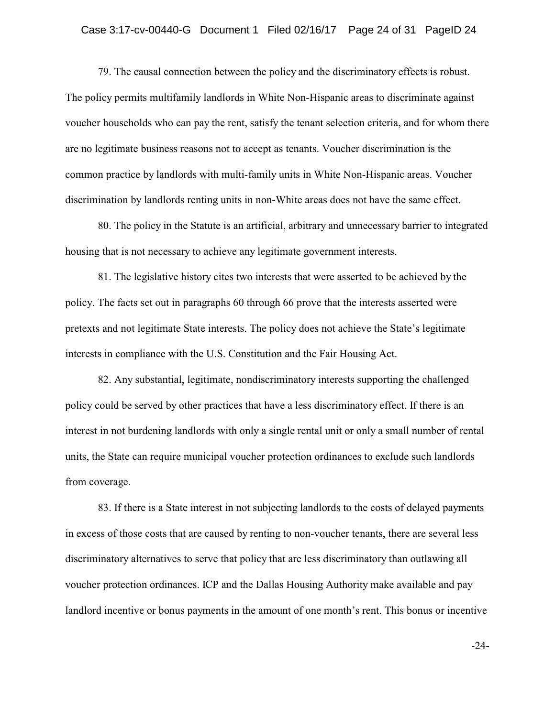### Case 3:17-cv-00440-G Document 1 Filed 02/16/17 Page 24 of 31 PageID 24

79. The causal connection between the policy and the discriminatory effects is robust. The policy permits multifamily landlords in White Non-Hispanic areas to discriminate against voucher households who can pay the rent, satisfy the tenant selection criteria, and for whom there are no legitimate business reasons not to accept as tenants. Voucher discrimination is the common practice by landlords with multi-family units in White Non-Hispanic areas. Voucher discrimination by landlords renting units in non-White areas does not have the same effect.

80. The policy in the Statute is an artificial, arbitrary and unnecessary barrier to integrated housing that is not necessary to achieve any legitimate government interests.

81. The legislative history cites two interests that were asserted to be achieved by the policy. The facts set out in paragraphs 60 through 66 prove that the interests asserted were pretexts and not legitimate State interests. The policy does not achieve the State's legitimate interests in compliance with the U.S. Constitution and the Fair Housing Act.

82. Any substantial, legitimate, nondiscriminatory interests supporting the challenged policy could be served by other practices that have a less discriminatory effect. If there is an interest in not burdening landlords with only a single rental unit or only a small number of rental units, the State can require municipal voucher protection ordinances to exclude such landlords from coverage.

83. If there is a State interest in not subjecting landlords to the costs of delayed payments in excess of those costs that are caused by renting to non-voucher tenants, there are several less discriminatory alternatives to serve that policy that are less discriminatory than outlawing all voucher protection ordinances. ICP and the Dallas Housing Authority make available and pay landlord incentive or bonus payments in the amount of one month's rent. This bonus or incentive

-24-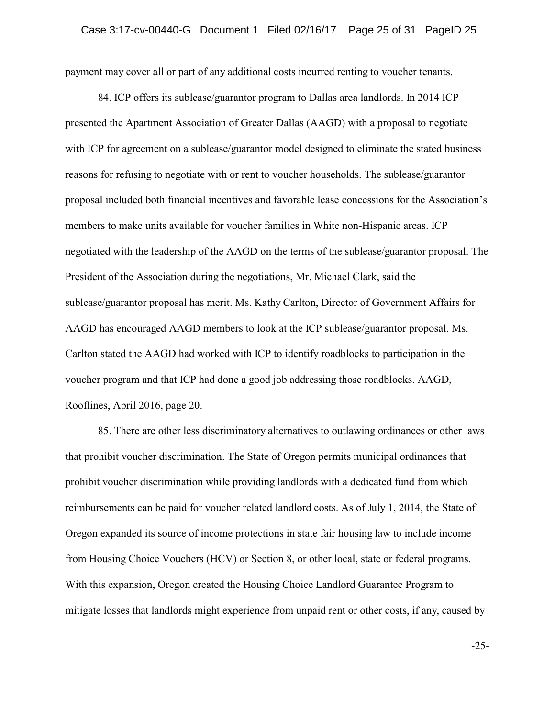payment may cover all or part of any additional costs incurred renting to voucher tenants.

84. ICP offers its sublease/guarantor program to Dallas area landlords. In 2014 ICP presented the Apartment Association of Greater Dallas (AAGD) with a proposal to negotiate with ICP for agreement on a sublease/guarantor model designed to eliminate the stated business reasons for refusing to negotiate with or rent to voucher households. The sublease/guarantor proposal included both financial incentives and favorable lease concessions for the Association's members to make units available for voucher families in White non-Hispanic areas. ICP negotiated with the leadership of the AAGD on the terms of the sublease/guarantor proposal. The President of the Association during the negotiations, Mr. Michael Clark, said the sublease/guarantor proposal has merit. Ms. Kathy Carlton, Director of Government Affairs for AAGD has encouraged AAGD members to look at the ICP sublease/guarantor proposal. Ms. Carlton stated the AAGD had worked with ICP to identify roadblocks to participation in the voucher program and that ICP had done a good job addressing those roadblocks. AAGD, Rooflines, April 2016, page 20.

85. There are other less discriminatory alternatives to outlawing ordinances or other laws that prohibit voucher discrimination. The State of Oregon permits municipal ordinances that prohibit voucher discrimination while providing landlords with a dedicated fund from which reimbursements can be paid for voucher related landlord costs. As of July 1, 2014, the State of Oregon expanded its source of income protections in state fair housing law to include income from Housing Choice Vouchers (HCV) or Section 8, or other local, state or federal programs. With this expansion, Oregon created the Housing Choice Landlord Guarantee Program to mitigate losses that landlords might experience from unpaid rent or other costs, if any, caused by

-25-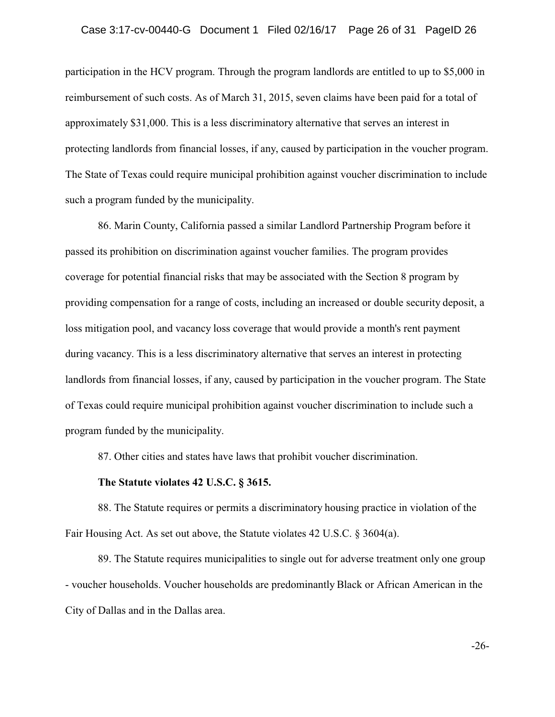participation in the HCV program. Through the program landlords are entitled to up to \$5,000 in reimbursement of such costs. As of March 31, 2015, seven claims have been paid for a total of approximately \$31,000. This is a less discriminatory alternative that serves an interest in protecting landlords from financial losses, if any, caused by participation in the voucher program. The State of Texas could require municipal prohibition against voucher discrimination to include such a program funded by the municipality.

86. Marin County, California passed a similar Landlord Partnership Program before it passed its prohibition on discrimination against voucher families. The program provides coverage for potential financial risks that may be associated with the Section 8 program by providing compensation for a range of costs, including an increased or double security deposit, a loss mitigation pool, and vacancy loss coverage that would provide a month's rent payment during vacancy. This is a less discriminatory alternative that serves an interest in protecting landlords from financial losses, if any, caused by participation in the voucher program. The State of Texas could require municipal prohibition against voucher discrimination to include such a program funded by the municipality.

87. Other cities and states have laws that prohibit voucher discrimination.

## **The Statute violates 42 U.S.C. § 3615.**

88. The Statute requires or permits a discriminatory housing practice in violation of the Fair Housing Act. As set out above, the Statute violates 42 U.S.C. § 3604(a).

89. The Statute requires municipalities to single out for adverse treatment only one group - voucher households. Voucher households are predominantly Black or African American in the City of Dallas and in the Dallas area.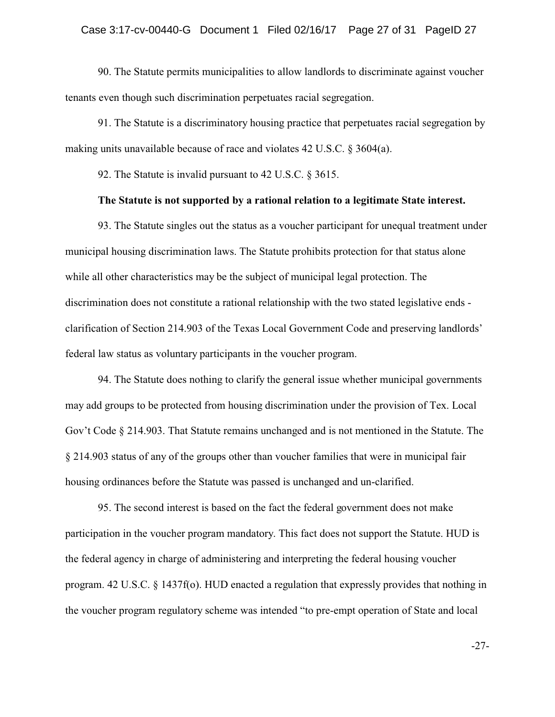90. The Statute permits municipalities to allow landlords to discriminate against voucher tenants even though such discrimination perpetuates racial segregation.

91. The Statute is a discriminatory housing practice that perpetuates racial segregation by making units unavailable because of race and violates 42 U.S.C. § 3604(a).

92. The Statute is invalid pursuant to 42 U.S.C. § 3615.

### **The Statute is not supported by a rational relation to a legitimate State interest.**

93. The Statute singles out the status as a voucher participant for unequal treatment under municipal housing discrimination laws. The Statute prohibits protection for that status alone while all other characteristics may be the subject of municipal legal protection. The discrimination does not constitute a rational relationship with the two stated legislative ends clarification of Section 214.903 of the Texas Local Government Code and preserving landlords' federal law status as voluntary participants in the voucher program.

94. The Statute does nothing to clarify the general issue whether municipal governments may add groups to be protected from housing discrimination under the provision of Tex. Local Gov't Code § 214.903. That Statute remains unchanged and is not mentioned in the Statute. The § 214.903 status of any of the groups other than voucher families that were in municipal fair housing ordinances before the Statute was passed is unchanged and un-clarified.

95. The second interest is based on the fact the federal government does not make participation in the voucher program mandatory. This fact does not support the Statute. HUD is the federal agency in charge of administering and interpreting the federal housing voucher program. 42 U.S.C. § 1437f(o). HUD enacted a regulation that expressly provides that nothing in the voucher program regulatory scheme was intended "to pre-empt operation of State and local

-27-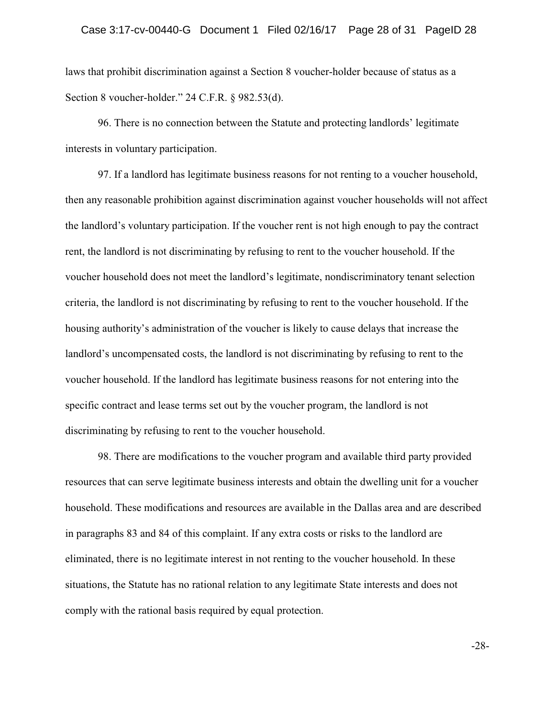laws that prohibit discrimination against a Section 8 voucher-holder because of status as a Section 8 voucher-holder." 24 C.F.R. § 982.53(d).

96. There is no connection between the Statute and protecting landlords' legitimate interests in voluntary participation.

97. If a landlord has legitimate business reasons for not renting to a voucher household, then any reasonable prohibition against discrimination against voucher households will not affect the landlord's voluntary participation. If the voucher rent is not high enough to pay the contract rent, the landlord is not discriminating by refusing to rent to the voucher household. If the voucher household does not meet the landlord's legitimate, nondiscriminatory tenant selection criteria, the landlord is not discriminating by refusing to rent to the voucher household. If the housing authority's administration of the voucher is likely to cause delays that increase the landlord's uncompensated costs, the landlord is not discriminating by refusing to rent to the voucher household. If the landlord has legitimate business reasons for not entering into the specific contract and lease terms set out by the voucher program, the landlord is not discriminating by refusing to rent to the voucher household.

98. There are modifications to the voucher program and available third party provided resources that can serve legitimate business interests and obtain the dwelling unit for a voucher household. These modifications and resources are available in the Dallas area and are described in paragraphs 83 and 84 of this complaint. If any extra costs or risks to the landlord are eliminated, there is no legitimate interest in not renting to the voucher household. In these situations, the Statute has no rational relation to any legitimate State interests and does not comply with the rational basis required by equal protection.

-28-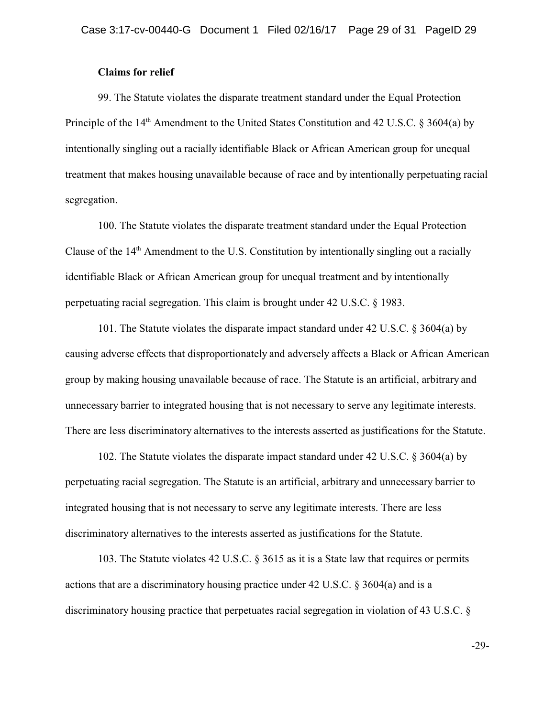## **Claims for relief**

99. The Statute violates the disparate treatment standard under the Equal Protection Principle of the 14<sup>th</sup> Amendment to the United States Constitution and 42 U.S.C. § 3604(a) by intentionally singling out a racially identifiable Black or African American group for unequal treatment that makes housing unavailable because of race and by intentionally perpetuating racial segregation.

100. The Statute violates the disparate treatment standard under the Equal Protection Clause of the 14<sup>th</sup> Amendment to the U.S. Constitution by intentionally singling out a racially identifiable Black or African American group for unequal treatment and by intentionally perpetuating racial segregation. This claim is brought under 42 U.S.C. § 1983.

101. The Statute violates the disparate impact standard under 42 U.S.C. § 3604(a) by causing adverse effects that disproportionately and adversely affects a Black or African American group by making housing unavailable because of race. The Statute is an artificial, arbitrary and unnecessary barrier to integrated housing that is not necessary to serve any legitimate interests. There are less discriminatory alternatives to the interests asserted as justifications for the Statute.

102. The Statute violates the disparate impact standard under 42 U.S.C. § 3604(a) by perpetuating racial segregation. The Statute is an artificial, arbitrary and unnecessary barrier to integrated housing that is not necessary to serve any legitimate interests. There are less discriminatory alternatives to the interests asserted as justifications for the Statute.

103. The Statute violates 42 U.S.C. § 3615 as it is a State law that requires or permits actions that are a discriminatory housing practice under 42 U.S.C. § 3604(a) and is a discriminatory housing practice that perpetuates racial segregation in violation of 43 U.S.C. §

-29-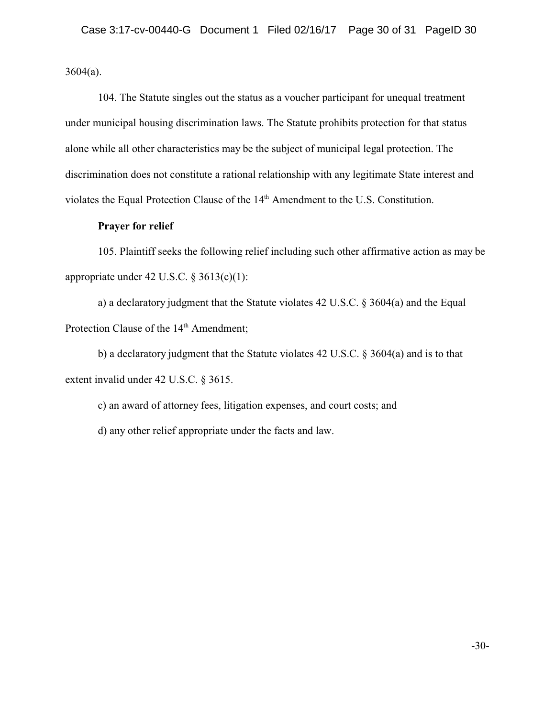$3604(a)$ .

104. The Statute singles out the status as a voucher participant for unequal treatment under municipal housing discrimination laws. The Statute prohibits protection for that status alone while all other characteristics may be the subject of municipal legal protection. The discrimination does not constitute a rational relationship with any legitimate State interest and violates the Equal Protection Clause of the 14th Amendment to the U.S. Constitution.

## **Prayer for relief**

105. Plaintiff seeks the following relief including such other affirmative action as may be appropriate under 42 U.S.C. § 3613(c)(1):

a) a declaratory judgment that the Statute violates 42 U.S.C. § 3604(a) and the Equal Protection Clause of the 14<sup>th</sup> Amendment;

b) a declaratory judgment that the Statute violates 42 U.S.C. § 3604(a) and is to that extent invalid under 42 U.S.C. § 3615.

c) an award of attorney fees, litigation expenses, and court costs; and d) any other relief appropriate under the facts and law.